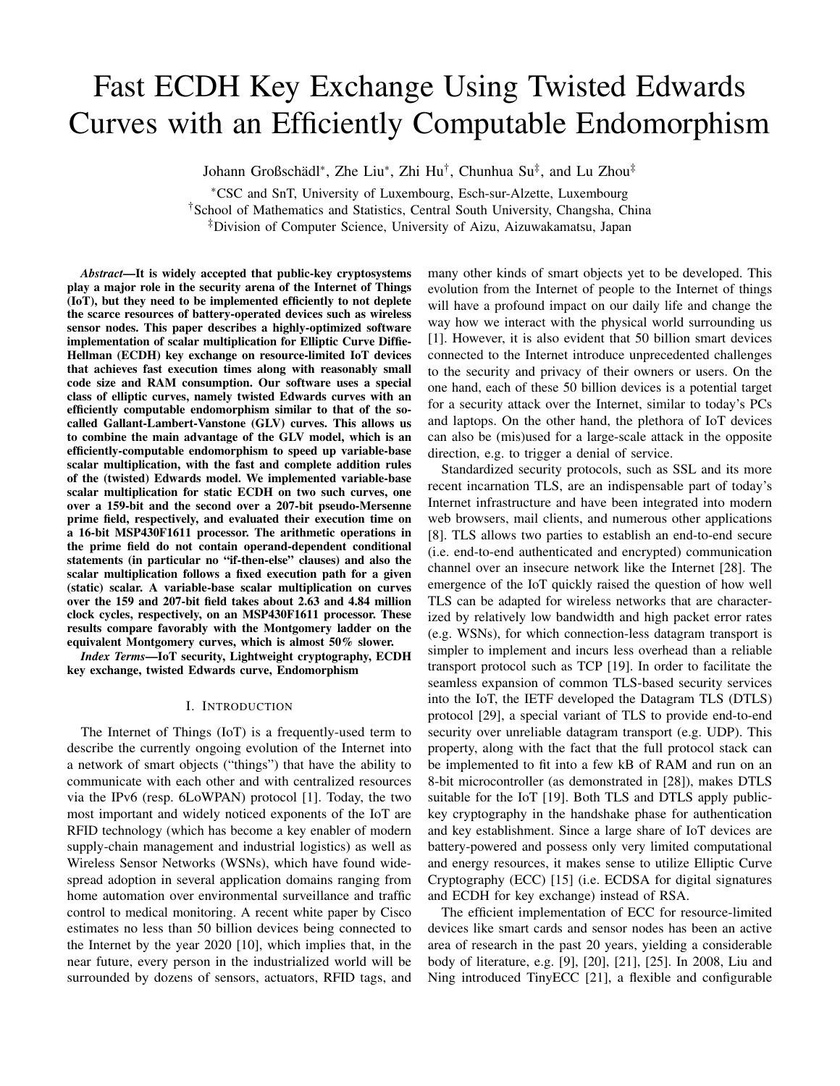# Fast ECDH Key Exchange Using Twisted Edwards Curves with an Efficiently Computable Endomorphism

Johann Großschädl<sup>∗</sup>, Zhe Liu<sup>∗</sup>, Zhi Hu<sup>†</sup>, Chunhua Su<sup>‡</sup>, and Lu Zhou<sup>‡</sup>

<sup>∗</sup>CSC and SnT, University of Luxembourg, Esch-sur-Alzette, Luxembourg †School of Mathematics and Statistics, Central South University, Changsha, China ‡Division of Computer Science, University of Aizu, Aizuwakamatsu, Japan

*Abstract*—It is widely accepted that public-key cryptosystems play a major role in the security arena of the Internet of Things (IoT), but they need to be implemented efficiently to not deplete the scarce resources of battery-operated devices such as wireless sensor nodes. This paper describes a highly-optimized software implementation of scalar multiplication for Elliptic Curve Diffie-Hellman (ECDH) key exchange on resource-limited IoT devices that achieves fast execution times along with reasonably small code size and RAM consumption. Our software uses a special class of elliptic curves, namely twisted Edwards curves with an efficiently computable endomorphism similar to that of the socalled Gallant-Lambert-Vanstone (GLV) curves. This allows us to combine the main advantage of the GLV model, which is an efficiently-computable endomorphism to speed up variable-base scalar multiplication, with the fast and complete addition rules of the (twisted) Edwards model. We implemented variable-base scalar multiplication for static ECDH on two such curves, one over a 159-bit and the second over a 207-bit pseudo-Mersenne prime field, respectively, and evaluated their execution time on a 16-bit MSP430F1611 processor. The arithmetic operations in the prime field do not contain operand-dependent conditional statements (in particular no "if-then-else" clauses) and also the scalar multiplication follows a fixed execution path for a given (static) scalar. A variable-base scalar multiplication on curves over the 159 and 207-bit field takes about 2.63 and 4.84 million clock cycles, respectively, on an MSP430F1611 processor. These results compare favorably with the Montgomery ladder on the equivalent Montgomery curves, which is almost 50% slower.

*Index Terms*—IoT security, Lightweight cryptography, ECDH key exchange, twisted Edwards curve, Endomorphism

#### I. INTRODUCTION

The Internet of Things (IoT) is a frequently-used term to describe the currently ongoing evolution of the Internet into a network of smart objects ("things") that have the ability to communicate with each other and with centralized resources via the IPv6 (resp. 6LoWPAN) protocol [1]. Today, the two most important and widely noticed exponents of the IoT are RFID technology (which has become a key enabler of modern supply-chain management and industrial logistics) as well as Wireless Sensor Networks (WSNs), which have found widespread adoption in several application domains ranging from home automation over environmental surveillance and traffic control to medical monitoring. A recent white paper by Cisco estimates no less than 50 billion devices being connected to the Internet by the year 2020 [10], which implies that, in the near future, every person in the industrialized world will be surrounded by dozens of sensors, actuators, RFID tags, and many other kinds of smart objects yet to be developed. This evolution from the Internet of people to the Internet of things will have a profound impact on our daily life and change the way how we interact with the physical world surrounding us [1]. However, it is also evident that 50 billion smart devices connected to the Internet introduce unprecedented challenges to the security and privacy of their owners or users. On the one hand, each of these 50 billion devices is a potential target for a security attack over the Internet, similar to today's PCs and laptops. On the other hand, the plethora of IoT devices can also be (mis)used for a large-scale attack in the opposite direction, e.g. to trigger a denial of service.

Standardized security protocols, such as SSL and its more recent incarnation TLS, are an indispensable part of today's Internet infrastructure and have been integrated into modern web browsers, mail clients, and numerous other applications [8]. TLS allows two parties to establish an end-to-end secure (i.e. end-to-end authenticated and encrypted) communication channel over an insecure network like the Internet [28]. The emergence of the IoT quickly raised the question of how well TLS can be adapted for wireless networks that are characterized by relatively low bandwidth and high packet error rates (e.g. WSNs), for which connection-less datagram transport is simpler to implement and incurs less overhead than a reliable transport protocol such as TCP [19]. In order to facilitate the seamless expansion of common TLS-based security services into the IoT, the IETF developed the Datagram TLS (DTLS) protocol [29], a special variant of TLS to provide end-to-end security over unreliable datagram transport (e.g. UDP). This property, along with the fact that the full protocol stack can be implemented to fit into a few kB of RAM and run on an 8-bit microcontroller (as demonstrated in [28]), makes DTLS suitable for the IoT [19]. Both TLS and DTLS apply publickey cryptography in the handshake phase for authentication and key establishment. Since a large share of IoT devices are battery-powered and possess only very limited computational and energy resources, it makes sense to utilize Elliptic Curve Cryptography (ECC) [15] (i.e. ECDSA for digital signatures and ECDH for key exchange) instead of RSA.

The efficient implementation of ECC for resource-limited devices like smart cards and sensor nodes has been an active area of research in the past 20 years, yielding a considerable body of literature, e.g. [9], [20], [21], [25]. In 2008, Liu and Ning introduced TinyECC [21], a flexible and configurable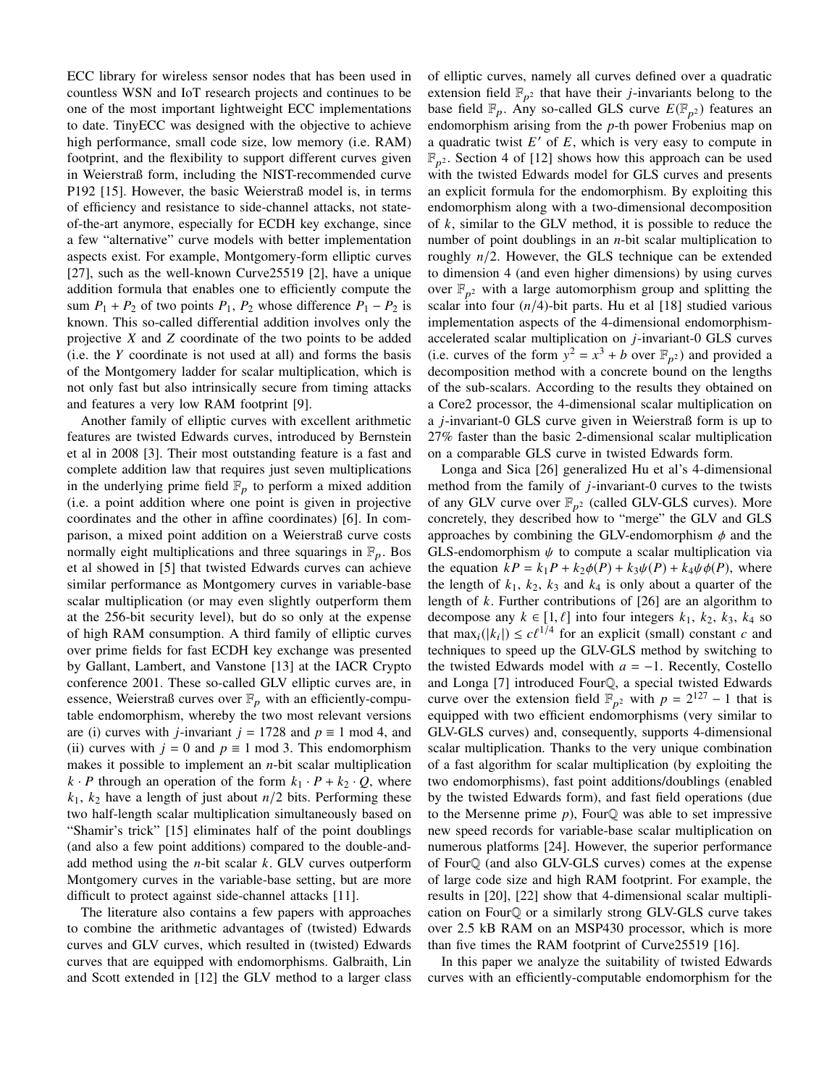ECC library for wireless sensor nodes that has been used in countless WSN and IoT research projects and continues to be one of the most important lightweight ECC implementations to date. TinyECC was designed with the objective to achieve high performance, small code size, low memory (i.e. RAM) footprint, and the flexibility to support different curves given in Weierstraß form, including the NIST-recommended curve P192 [15]. However, the basic Weierstraß model is, in terms of efficiency and resistance to side-channel attacks, not stateof-the-art anymore, especially for ECDH key exchange, since a few "alternative" curve models with better implementation aspects exist. For example, Montgomery-form elliptic curves [27], such as the well-known Curve25519 [2], have a unique addition formula that enables one to efficiently compute the sum  $P_1 + P_2$  of two points  $P_1$ ,  $P_2$  whose difference  $P_1 - P_2$  is known. This so-called differential addition involves only the projective *X* and *Z* coordinate of the two points to be added (i.e. the *Y* coordinate is not used at all) and forms the basis of the Montgomery ladder for scalar multiplication, which is not only fast but also intrinsically secure from timing attacks and features a very low RAM footprint [9].

Another family of elliptic curves with excellent arithmetic features are twisted Edwards curves, introduced by Bernstein et al in 2008 [3]. Their most outstanding feature is a fast and complete addition law that requires just seven multiplications in the underlying prime field  $\mathbb{F}_p$  to perform a mixed addition (i.e. a point addition where one point is given in projective coordinates and the other in affine coordinates) [6]. In comparison, a mixed point addition on a Weierstraß curve costs normally eight multiplications and three squarings in  $\mathbb{F}_p$ . Bos et al showed in [5] that twisted Edwards curves can achieve similar performance as Montgomery curves in variable-base scalar multiplication (or may even slightly outperform them at the 256-bit security level), but do so only at the expense of high RAM consumption. A third family of elliptic curves over prime fields for fast ECDH key exchange was presented by Gallant, Lambert, and Vanstone [13] at the IACR Crypto conference 2001. These so-called GLV elliptic curves are, in essence, Weierstraß curves over  $\mathbb{F}_p$  with an efficiently-computable endomorphism, whereby the two most relevant versions are (i) curves with *j*-invariant  $j = 1728$  and  $p \equiv 1 \text{ mod } 4$ , and (ii) curves with  $j = 0$  and  $p \equiv 1$  mod 3. This endomorphism makes it possible to implement an *n*-bit scalar multiplication  $k \cdot P$  through an operation of the form  $k_1 \cdot P + k_2 \cdot Q$ , where  $k_1$ ,  $k_2$  have a length of just about  $n/2$  bits. Performing these two half-length scalar multiplication simultaneously based on "Shamir's trick" [15] eliminates half of the point doublings (and also a few point additions) compared to the double-andadd method using the *n*-bit scalar *k*. GLV curves outperform Montgomery curves in the variable-base setting, but are more difficult to protect against side-channel attacks [11].

The literature also contains a few papers with approaches to combine the arithmetic advantages of (twisted) Edwards curves and GLV curves, which resulted in (twisted) Edwards curves that are equipped with endomorphisms. Galbraith, Lin and Scott extended in [12] the GLV method to a larger class of elliptic curves, namely all curves defined over a quadratic extension field  $\mathbb{F}_{p^2}$  that have their *j*-invariants belong to the base field  $\mathbb{F}_p$ . Any so-called GLS curve  $E(\mathbb{F}_{p^2})$  features an endomorphism arising from the *p*-th power Frobenius map on a quadratic twist  $E'$  of  $E$ , which is very easy to compute in  $\mathbb{F}_{p^2}$ . Section 4 of [12] shows how this approach can be used with the twisted Edwards model for GLS curves and presents an explicit formula for the endomorphism. By exploiting this endomorphism along with a two-dimensional decomposition of *k*, similar to the GLV method, it is possible to reduce the number of point doublings in an *n*-bit scalar multiplication to roughly *n*/2. However, the GLS technique can be extended to dimension 4 (and even higher dimensions) by using curves over  $\mathbb{F}_{p^2}$  with a large automorphism group and splitting the scalar into four  $(n/4)$ -bit parts. Hu et al [18] studied various implementation aspects of the 4-dimensional endomorphismaccelerated scalar multiplication on *j*-invariant-0 GLS curves (i.e. curves of the form  $y^2 = x^3 + b$  over  $\mathbb{F}_{p^2}$ ) and provided a decomposition method with a concrete bound on the lengths of the sub-scalars. According to the results they obtained on a Core2 processor, the 4-dimensional scalar multiplication on a *j*-invariant-0 GLS curve given in Weierstraß form is up to 27% faster than the basic 2-dimensional scalar multiplication on a comparable GLS curve in twisted Edwards form.

Longa and Sica [26] generalized Hu et al's 4-dimensional method from the family of *j*-invariant-0 curves to the twists of any GLV curve over  $\mathbb{F}_{p^2}$  (called GLV-GLS curves). More concretely, they described how to "merge" the GLV and GLS approaches by combining the GLV-endomorphism  $\phi$  and the GLS-endomorphism  $\psi$  to compute a scalar multiplication via the equation  $kP = k_1P + k_2\phi(P) + k_3\psi(P) + k_4\psi\phi(P)$ , where the length of  $k_1$ ,  $k_2$ ,  $k_3$  and  $k_4$  is only about a quarter of the length of *k*. Further contributions of [26] are an algorithm to decompose any  $k \in [1, \ell]$  into four integers  $k_1$ ,  $k_2$ ,  $k_3$ ,  $k_4$  so that  $\max_i(|k_i|) \leq c\ell^{1/4}$  for an explicit (small) constant *c* and techniques to speed up the GUV-GUS method by switching to techniques to speed up the GLV-GLS method by switching to the twisted Edwards model with *a* = −1. Recently, Costello and Longa [7] introduced FourQ, a special twisted Edwards curve over the extension field  $\mathbb{F}_{p^2}$  with  $p = 2^{127} - 1$  that is equipped with two efficient endomorphisms (very similar to GLV-GLS curves) and, consequently, supports 4-dimensional scalar multiplication. Thanks to the very unique combination of a fast algorithm for scalar multiplication (by exploiting the two endomorphisms), fast point additions/doublings (enabled by the twisted Edwards form), and fast field operations (due to the Mersenne prime *p*), FourQ was able to set impressive new speed records for variable-base scalar multiplication on numerous platforms [24]. However, the superior performance of FourQ (and also GLV-GLS curves) comes at the expense of large code size and high RAM footprint. For example, the results in [20], [22] show that 4-dimensional scalar multiplication on FourQ or a similarly strong GLV-GLS curve takes over 2.5 kB RAM on an MSP430 processor, which is more than five times the RAM footprint of Curve25519 [16].

In this paper we analyze the suitability of twisted Edwards curves with an efficiently-computable endomorphism for the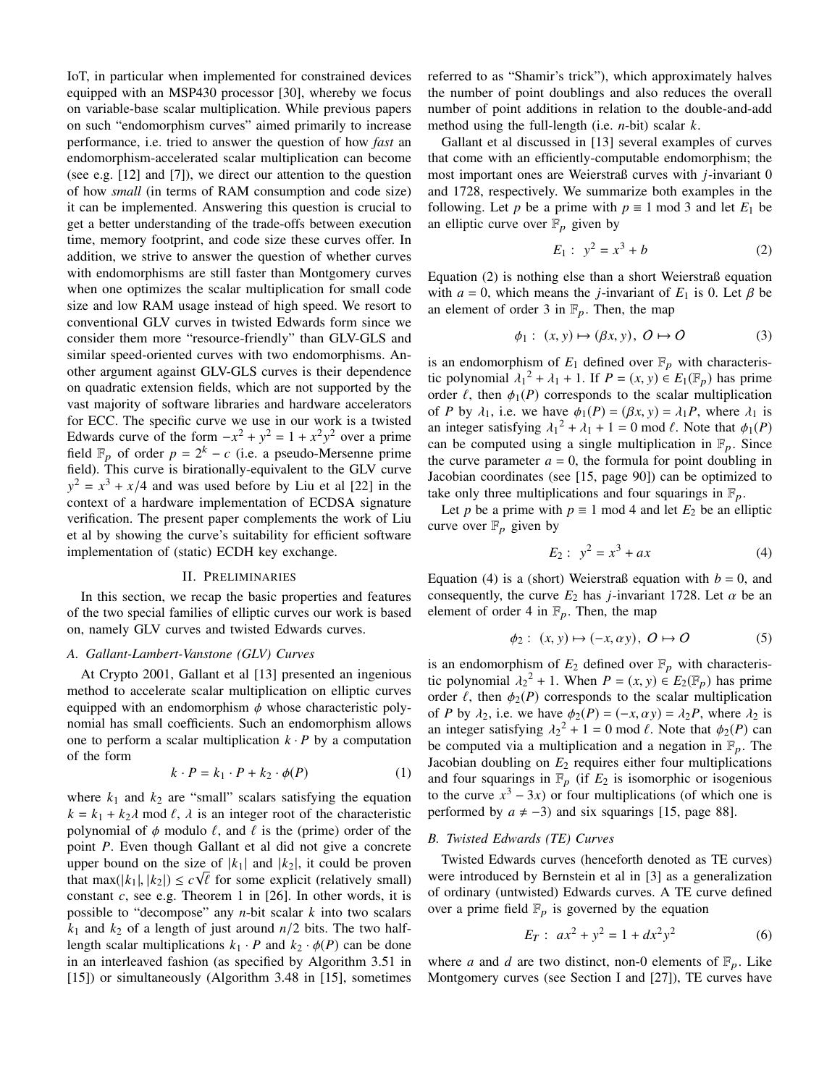IoT, in particular when implemented for constrained devices equipped with an MSP430 processor [30], whereby we focus on variable-base scalar multiplication. While previous papers on such "endomorphism curves" aimed primarily to increase performance, i.e. tried to answer the question of how *fast* an endomorphism-accelerated scalar multiplication can become (see e.g. [12] and [7]), we direct our attention to the question of how *small* (in terms of RAM consumption and code size) it can be implemented. Answering this question is crucial to get a better understanding of the trade-offs between execution time, memory footprint, and code size these curves offer. In addition, we strive to answer the question of whether curves with endomorphisms are still faster than Montgomery curves when one optimizes the scalar multiplication for small code size and low RAM usage instead of high speed. We resort to conventional GLV curves in twisted Edwards form since we consider them more "resource-friendly" than GLV-GLS and similar speed-oriented curves with two endomorphisms. Another argument against GLV-GLS curves is their dependence on quadratic extension fields, which are not supported by the vast majority of software libraries and hardware accelerators for ECC. The specific curve we use in our work is a twisted Edwards curve of the form  $-x^2 + y^2 = 1 + x^2y^2$  over a prime field  $\mathbb{F}_p$  of order  $p = 2^k - c$  (i.e. a pseudo-Mersenne prime field). This curve is birationally-equivalent to the GLV curve  $y^2 = x^3 + x/4$  and was used before by Liu et al [22] in the context of a hardware implementation of ECDSA signature verification. The present paper complements the work of Liu et al by showing the curve's suitability for efficient software implementation of (static) ECDH key exchange.

## II. PRELIMINARIES

In this section, we recap the basic properties and features of the two special families of elliptic curves our work is based on, namely GLV curves and twisted Edwards curves.

## *A. Gallant-Lambert-Vanstone (GLV) Curves*

At Crypto 2001, Gallant et al [13] presented an ingenious method to accelerate scalar multiplication on elliptic curves equipped with an endomorphism  $\phi$  whose characteristic polynomial has small coefficients. Such an endomorphism allows one to perform a scalar multiplication  $k \cdot P$  by a computation of the form

$$
k \cdot P = k_1 \cdot P + k_2 \cdot \phi(P) \tag{1}
$$

where  $k_1$  and  $k_2$  are "small" scalars satisfying the equation  $k = k_1 + k_2 \lambda$  mod  $\ell$ ,  $\lambda$  is an integer root of the characteristic polynomial of  $\phi$  modulo  $\ell$ , and  $\ell$  is the (prime) order of the point *P*. Even though Gallant et al did not give a concrete upper bound on the size of  $|k_1|$  and  $|k_2|$ , it could be proven that max( $|k_1|, |k_2|$ )  $\leq c\sqrt{\ell}$  for some explicit (relatively small)<br>constant c see e.g. Theorem 1 in [26]. In other words, it is constant *c*, see e.g. Theorem 1 in [26]. In other words, it is possible to "decompose" any *n*-bit scalar *k* into two scalars  $k_1$  and  $k_2$  of a length of just around  $n/2$  bits. The two halflength scalar multiplications  $k_1 \cdot P$  and  $k_2 \cdot \phi(P)$  can be done in an interleaved fashion (as specified by Algorithm 3.51 in [15]) or simultaneously (Algorithm 3.48 in [15], sometimes referred to as "Shamir's trick"), which approximately halves the number of point doublings and also reduces the overall number of point additions in relation to the double-and-add method using the full-length (i.e. *n*-bit) scalar *k*.

Gallant et al discussed in [13] several examples of curves that come with an efficiently-computable endomorphism; the most important ones are Weierstraß curves with *j*-invariant 0 and 1728, respectively. We summarize both examples in the following. Let *p* be a prime with  $p \equiv 1 \text{ mod } 3$  and let  $E_1$  be an elliptic curve over  $\mathbb{F}_p$  given by

$$
E_1: y^2 = x^3 + b \tag{2}
$$

Equation (2) is nothing else than a short Weierstraß equation with  $a = 0$ , which means the *j*-invariant of  $E_1$  is 0. Let  $\beta$  be an element of order 3 in  $\mathbb{F}_p$ . Then, the map

$$
\phi_1: (x, y) \mapsto (\beta x, y), \ O \mapsto O \tag{3}
$$

is an endomorphism of  $E_1$  defined over  $\mathbb{F}_p$  with characteristic polynomial  $\lambda_1^2 + \lambda_1 + 1$ . If  $P = (x, y) \in E_1(\mathbb{F}_p)$  has prime order  $\ell$ , then  $\phi_1(P)$  corresponds to the scalar multiplication order  $\ell$ , then  $\phi_1(P)$  corresponds to the scalar multiplication of *P* by  $\lambda_1$ , i.e. we have  $\phi_1(P) = (\beta x, y) = \lambda_1 P$ , where  $\lambda_1$  is an integer satisfying  $\lambda_1^2 + \lambda_1 + 1 = 0 \text{ mod } \ell$ . Note that  $\phi_1(P)$ <br>can be computed using a single multiplication in  $\mathbb{F}$ . Since can be computed using a single multiplication in  $\mathbb{F}_p$ . Since the curve parameter  $a = 0$ , the formula for point doubling in Jacobian coordinates (see [15, page 90]) can be optimized to take only three multiplications and four squarings in  $\mathbb{F}_p$ .

Let *p* be a prime with  $p \equiv 1 \text{ mod } 4$  and let  $E_2$  be an elliptic curve over  $\mathbb{F}_p$  given by

$$
E_2: y^2 = x^3 + ax \tag{4}
$$

Equation (4) is a (short) Weierstraß equation with  $b = 0$ , and consequently, the curve  $E_2$  has *j*-invariant 1728. Let  $\alpha$  be an element of order 4 in  $\mathbb{F}_p$ . Then, the map

$$
\phi_2: (x, y) \mapsto (-x, \alpha y), \ O \mapsto O \tag{5}
$$

is an endomorphism of  $E_2$  defined over  $\mathbb{F}_p$  with characteristic polynomial  $\lambda_2^2 + 1$ . When  $P = (x, y) \in E_2(\mathbb{F}_p)$  has prime order  $\ell$ , then  $\phi_2(P)$  corresponds to the scalar multiplication order  $\ell$ , then  $\phi_2(P)$  corresponds to the scalar multiplication of *P* by  $\lambda_2$ , i.e. we have  $\phi_2(P) = (-x, \alpha y) = \lambda_2 P$ , where  $\lambda_2$  is an integer satisfying  $\lambda_2^2 + 1 = 0 \text{ mod } \ell$ . Note that  $\phi_2(P)$  can<br>be computed via a multiplication and a negation in  $\mathbb{F}$ . The be computed via a multiplication and a negation in  $\mathbb{F}_p$ . The Jacobian doubling on *E*<sup>2</sup> requires either four multiplications and four squarings in  $\mathbb{F}_p$  (if  $E_2$  is isomorphic or isogenious to the curve  $x^3 - 3x$ ) or four multiplications (of which one is performed by  $a \neq -3$ ) and six squarings [15, page 88].

# *B. Twisted Edwards (TE) Curves*

Twisted Edwards curves (henceforth denoted as TE curves) were introduced by Bernstein et al in [3] as a generalization of ordinary (untwisted) Edwards curves. A TE curve defined over a prime field  $\mathbb{F}_p$  is governed by the equation

$$
E_T: ax^2 + y^2 = 1 + dx^2y^2 \tag{6}
$$

where *a* and *d* are two distinct, non-0 elements of  $\mathbb{F}_p$ . Like Montgomery curves (see Section I and [27]), TE curves have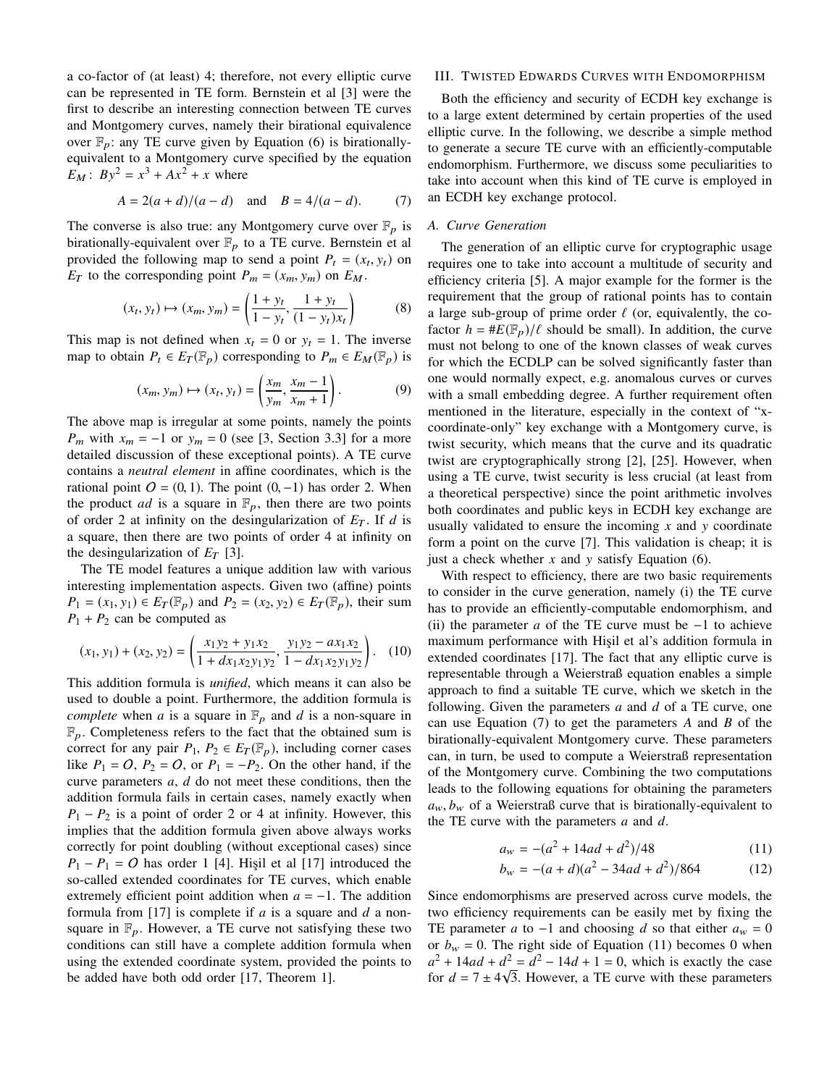a co-factor of (at least) 4; therefore, not every elliptic curve can be represented in TE form. Bernstein et al [3] were the first to describe an interesting connection between TE curves and Montgomery curves, namely their birational equivalence over  $\mathbb{F}_p$ : any TE curve given by Equation (6) is birationallyequivalent to a Montgomery curve specified by the equation  $E_M$ :  $By^2 = x^3 + Ax^2 + x$  where

$$
A = 2(a+d)/(a-d)
$$
 and  $B = 4/(a-d)$ . (7)

The converse is also true: any Montgomery curve over  $\mathbb{F}_p$  is birationally-equivalent over  $\mathbb{F}_p$  to a TE curve. Bernstein et all provided the following map to send a point  $P_t = (x_t, y_t)$  on<br>  $F_{tt}$  to the corresponding point  $P_t = (x, y_t)$  on  $F_{tt}$  $E_T$  to the corresponding point  $P_m = (x_m, y_m)$  on  $E_M$ .

$$
(x_t, y_t) \mapsto (x_m, y_m) = \left(\frac{1 + y_t}{1 - y_t}, \frac{1 + y_t}{(1 - y_t)x_t}\right)
$$
 (8)

This map is not defined when  $x_t = 0$  or  $y_t = 1$ . The inverse map to obtain  $P_t \in E_T(\mathbb{F}_p)$  corresponding to  $P_m \in E_M(\mathbb{F}_p)$  is

$$
(x_m, y_m) \mapsto (x_t, y_t) = \left(\frac{x_m}{y_m}, \frac{x_m - 1}{x_m + 1}\right). \tag{9}
$$

The above map is irregular at some points, namely the points *P<sub>m</sub>* with  $x_m = -1$  or  $y_m = 0$  (see [3, Section 3.3] for a more detailed discussion of these exceptional points). A TE curve contains a *neutral element* in affine coordinates, which is the rational point  $O = (0, 1)$ . The point  $(0, -1)$  has order 2. When the product *ad* is a square in  $\mathbb{F}_p$ , then there are two points of order 2 at infinity on the desingularization of  $E_T$ . If *d* is a square, then there are two points of order 4 at infinity on the desingularization of  $E_T$  [3].

The TE model features a unique addition law with various interesting implementation aspects. Given two (affine) points *P*<sub>1</sub> = (*x*<sub>1</sub>, *y*<sub>1</sub>) ∈ *E*<sub>T</sub>( $\mathbb{F}_p$ ) and *P*<sub>2</sub> = (*x*<sub>2</sub>, *y*<sub>2</sub>) ∈ *E*<sub>T</sub>( $\mathbb{F}_p$ ), their sum  $P_1 + P_2$  can be computed as

$$
(x_1, y_1) + (x_2, y_2) = \left(\frac{x_1y_2 + y_1x_2}{1 + dx_1x_2y_1y_2}, \frac{y_1y_2 - ax_1x_2}{1 - dx_1x_2y_1y_2}\right). (10)
$$

This addition formula is *unified*, which means it can also be used to double a point. Furthermore, the addition formula is *complete* when *a* is a square in  $\mathbb{F}_p$  and *d* is a non-square in  $\mathbb{F}_p$ . Completeness refers to the fact that the obtained sum is correct for any pair  $P_1$ ,  $P_2 \in E_T(\mathbb{F}_p)$ , including corner cases like  $P_1 = 0$ ,  $P_2 = 0$ , or  $P_1 = -P_2$ . On the other hand, if the curve parameters *a*, *d* do not meet these conditions, then the addition formula fails in certain cases, namely exactly when  $P_1 - P_2$  is a point of order 2 or 4 at infinity. However, this implies that the addition formula given above always works correctly for point doubling (without exceptional cases) since  $P_1 - P_1 = O$  has order 1 [4]. Hişil et al [17] introduced the so-called extended coordinates for TE curves, which enable extremely efficient point addition when  $a = -1$ . The addition formula from [17] is complete if *a* is a square and *d* a nonsquare in  $\mathbb{F}_p$ . However, a TE curve not satisfying these two conditions can still have a complete addition formula when using the extended coordinate system, provided the points to be added have both odd order [17, Theorem 1].

# III. TWISTED EDWARDS CURVES WITH ENDOMORPHISM

Both the efficiency and security of ECDH key exchange is to a large extent determined by certain properties of the used elliptic curve. In the following, we describe a simple method to generate a secure TE curve with an efficiently-computable endomorphism. Furthermore, we discuss some peculiarities to take into account when this kind of TE curve is employed in an ECDH key exchange protocol.

## *A. Curve Generation*

The generation of an elliptic curve for cryptographic usage requires one to take into account a multitude of security and efficiency criteria [5]. A major example for the former is the requirement that the group of rational points has to contain a large sub-group of prime order  $\ell$  (or, equivalently, the cofactor  $h = \#E(\mathbb{F}_p)/\ell$  should be small). In addition, the curve must not belong to one of the known classes of weak curves for which the ECDLP can be solved significantly faster than one would normally expect, e.g. anomalous curves or curves with a small embedding degree. A further requirement often mentioned in the literature, especially in the context of "xcoordinate-only" key exchange with a Montgomery curve, is twist security, which means that the curve and its quadratic twist are cryptographically strong [2], [25]. However, when using a TE curve, twist security is less crucial (at least from a theoretical perspective) since the point arithmetic involves both coordinates and public keys in ECDH key exchange are usually validated to ensure the incoming *x* and y coordinate form a point on the curve [7]. This validation is cheap; it is just a check whether  $x$  and  $y$  satisfy Equation (6).

With respect to efficiency, there are two basic requirements to consider in the curve generation, namely (i) the TE curve has to provide an efficiently-computable endomorphism, and (ii) the parameter *a* of the TE curve must be  $-1$  to achieve maximum performance with Hişil et al's addition formula in extended coordinates [17]. The fact that any elliptic curve is representable through a Weierstraß equation enables a simple approach to find a suitable TE curve, which we sketch in the following. Given the parameters *a* and *d* of a TE curve, one can use Equation (7) to get the parameters *A* and *B* of the birationally-equivalent Montgomery curve. These parameters can, in turn, be used to compute a Weierstraß representation of the Montgomery curve. Combining the two computations leads to the following equations for obtaining the parameters  $a_w, b_w$  of a Weierstraß curve that is birationally-equivalent to the TE curve with the parameters *a* and *d*.

$$
a_w = -(a^2 + 14ad + d^2)/48\tag{11}
$$

$$
b_w = -(a+d)(a^2 - 34ad + d^2)/864\tag{12}
$$

Since endomorphisms are preserved across curve models, the two efficiency requirements can be easily met by fixing the TE parameter *a* to −1 and choosing *d* so that either  $a_w = 0$ or  $b_w = 0$ . The right side of Equation (11) becomes 0 when  $a^2 + 14ad + d^2 = d^2 - 14d + 1 = 0$ , which is exactly the case for  $d = 7 \pm 4\sqrt{3}$ . However, a TE curve with these parameters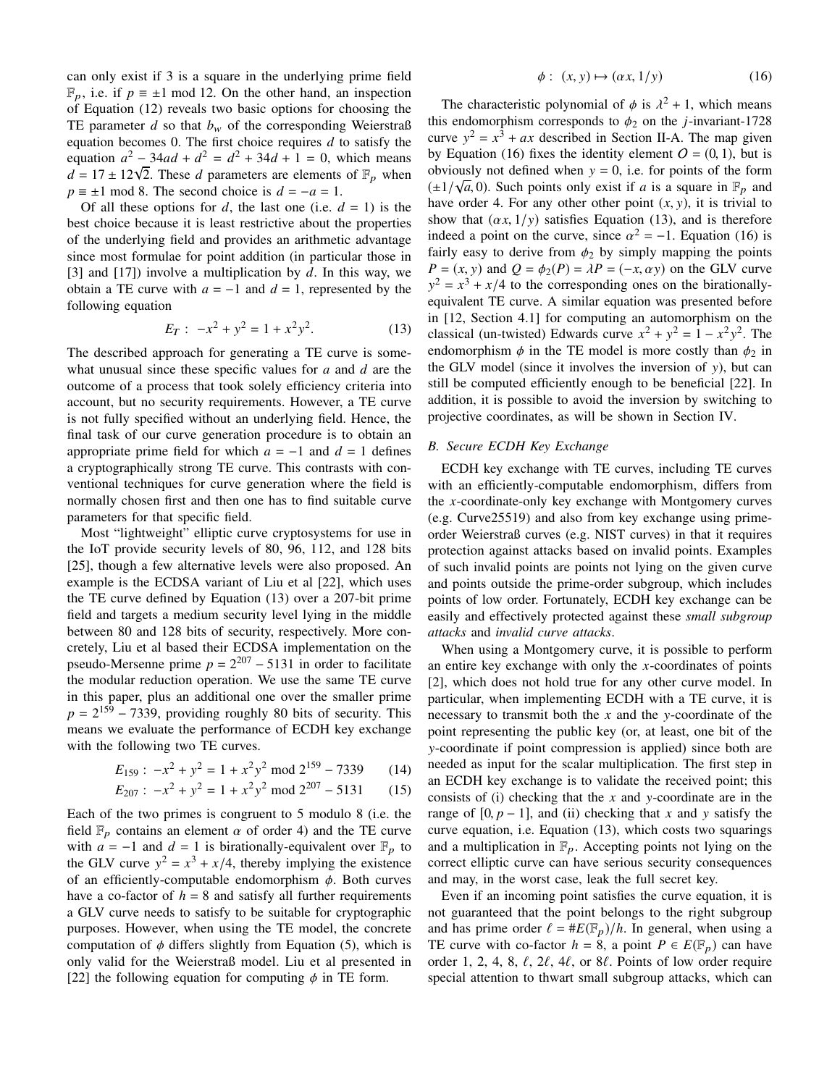can only exist if 3 is a square in the underlying prime field  $\mathbb{F}_p$ , i.e. if  $p \equiv \pm 1 \mod 12$ . On the other hand, an inspection of Equation (12) reveals two basic options for choosing the TE parameter *d* so that  $b_w$  of the corresponding Weierstraß equation becomes 0. The first choice requires *d* to satisfy the equation  $a^2 - 34ad + d^2 = d^2 + 34d + 1 = 0$ , which means equation  $a^2 - 34aa + a^2 = a^2 + 34a + 1 = 0$ , which means  $d = 17 \pm 12\sqrt{2}$ . These *d* parameters are elements of  $\mathbb{F}_p$  when  $p \equiv \pm 1 \mod 8$ . The second choice is  $d = -a = 1$ .

Of all these options for  $d$ , the last one (i.e.  $d = 1$ ) is the best choice because it is least restrictive about the properties of the underlying field and provides an arithmetic advantage since most formulae for point addition (in particular those in [3] and [17]) involve a multiplication by *d*. In this way, we obtain a TE curve with  $a = -1$  and  $d = 1$ , represented by the following equation

$$
E_T: -x^2 + y^2 = 1 + x^2y^2. \tag{13}
$$

The described approach for generating a TE curve is somewhat unusual since these specific values for *a* and *d* are the outcome of a process that took solely efficiency criteria into account, but no security requirements. However, a TE curve is not fully specified without an underlying field. Hence, the final task of our curve generation procedure is to obtain an appropriate prime field for which  $a = -1$  and  $d = 1$  defines a cryptographically strong TE curve. This contrasts with conventional techniques for curve generation where the field is normally chosen first and then one has to find suitable curve parameters for that specific field.

Most "lightweight" elliptic curve cryptosystems for use in the IoT provide security levels of 80, 96, 112, and 128 bits [25], though a few alternative levels were also proposed. An example is the ECDSA variant of Liu et al [22], which uses the TE curve defined by Equation (13) over a 207-bit prime field and targets a medium security level lying in the middle between 80 and 128 bits of security, respectively. More concretely, Liu et al based their ECDSA implementation on the pseudo-Mersenne prime  $p = 2^{207} - 5131$  in order to facilitate the modular reduction operation. We use the same TE curve in this paper, plus an additional one over the smaller prime  $p = 2^{159} - 7339$ , providing roughly 80 bits of security. This means we evaluate the performance of ECDH key exchange with the following two TE curves.

$$
E_{159} : -x^2 + y^2 = 1 + x^2 y^2 \mod 2^{159} - 7339 \tag{14}
$$

$$
E_{207}: -x^2 + y^2 = 1 + x^2y^2 \text{ mod } 2^{207} - 5131 \qquad (15)
$$

Each of the two primes is congruent to 5 modulo 8 (i.e. the field  $\mathbb{F}_p$  contains an element  $\alpha$  of order 4) and the TE curve with  $a = -1$  and  $d = 1$  is birationally-equivalent over  $\mathbb{F}_p$  to the GLV curve  $y^2 = x^3 + x/4$ , thereby implying the existence of an efficiently-computable endomorphism  $\phi$ . Both curves have a co-factor of  $h = 8$  and satisfy all further requirements a GLV curve needs to satisfy to be suitable for cryptographic purposes. However, when using the TE model, the concrete computation of  $\phi$  differs slightly from Equation (5), which is only valid for the Weierstraß model. Liu et al presented in [22] the following equation for computing  $\phi$  in TE form.

$$
\phi: (x, y) \mapsto (\alpha x, 1/y) \tag{16}
$$

The characteristic polynomial of  $\phi$  is  $\lambda^2 + 1$ , which means<br>s endomorphism corresponds to  $\phi_2$  on the *i*-invariant-1728 this endomorphism corresponds to  $\phi_2$  on the *j*-invariant-1728 curve  $y^2 = x^3 + ax$  described in Section II-A. The map given by Equation (16) fixes the identity element  $O = (0, 1)$ , but is obviously not defined when  $y = 0$ , i.e. for points of the form  $(\pm 1/\sqrt{a}, 0)$ . Such points only exist if *a* is a square in  $\mathbb{F}_p$  and have order *A*. For any other other point  $(x, y)$  it is trivial to have order 4. For any other other point  $(x, y)$ , it is trivial to show that  $(\alpha x, 1/y)$  satisfies Equation (13), and is therefore indeed a point on the curve, since  $\alpha^2 = -1$ . Equation (16) is<br>fairly easy to derive from  $\phi_0$  by simply manning the points fairly easy to derive from  $\phi_2$  by simply mapping the points *P* =  $(x, y)$  and  $Q = \phi_2(P) = \lambda P = (-x, \alpha y)$  on the GLV curve  $y^2 = x^3 + x/4$  to the corresponding ones on the birationallyequivalent TE curve. A similar equation was presented before in [12, Section 4.1] for computing an automorphism on the classical (un-twisted) Edwards curve  $x^2 + y^2 = 1 - x^2y^2$ . The endomorphism  $\phi$  in the TE model is more costly than  $\phi_2$  in the GLV model (since it involves the inversion of y), but can still be computed efficiently enough to be beneficial [22]. In addition, it is possible to avoid the inversion by switching to projective coordinates, as will be shown in Section IV.

## *B. Secure ECDH Key Exchange*

ECDH key exchange with TE curves, including TE curves with an efficiently-computable endomorphism, differs from the *x*-coordinate-only key exchange with Montgomery curves (e.g. Curve25519) and also from key exchange using primeorder Weierstraß curves (e.g. NIST curves) in that it requires protection against attacks based on invalid points. Examples of such invalid points are points not lying on the given curve and points outside the prime-order subgroup, which includes points of low order. Fortunately, ECDH key exchange can be easily and effectively protected against these *small subgroup attacks* and *invalid curve attacks*.

When using a Montgomery curve, it is possible to perform an entire key exchange with only the *x*-coordinates of points [2], which does not hold true for any other curve model. In particular, when implementing ECDH with a TE curve, it is necessary to transmit both the *x* and the y-coordinate of the point representing the public key (or, at least, one bit of the y-coordinate if point compression is applied) since both are needed as input for the scalar multiplication. The first step in an ECDH key exchange is to validate the received point; this consists of (i) checking that the *x* and y-coordinate are in the range of  $[0, p - 1]$ , and (ii) checking that *x* and *y* satisfy the curve equation, i.e. Equation (13), which costs two squarings and a multiplication in  $\mathbb{F}_p$ . Accepting points not lying on the correct elliptic curve can have serious security consequences and may, in the worst case, leak the full secret key.

Even if an incoming point satisfies the curve equation, it is not guaranteed that the point belongs to the right subgroup and has prime order  $\ell = \#E(\mathbb{F}_p)/h$ . In general, when using a TE curve with co-factor  $h = 8$ , a point  $P \in E(\mathbb{F}_p)$  can have order 1, 2, 4, 8,  $\ell$ , 2 $\ell$ , 4 $\ell$ , or 8 $\ell$ . Points of low order require special attention to thwart small subgroup attacks, which can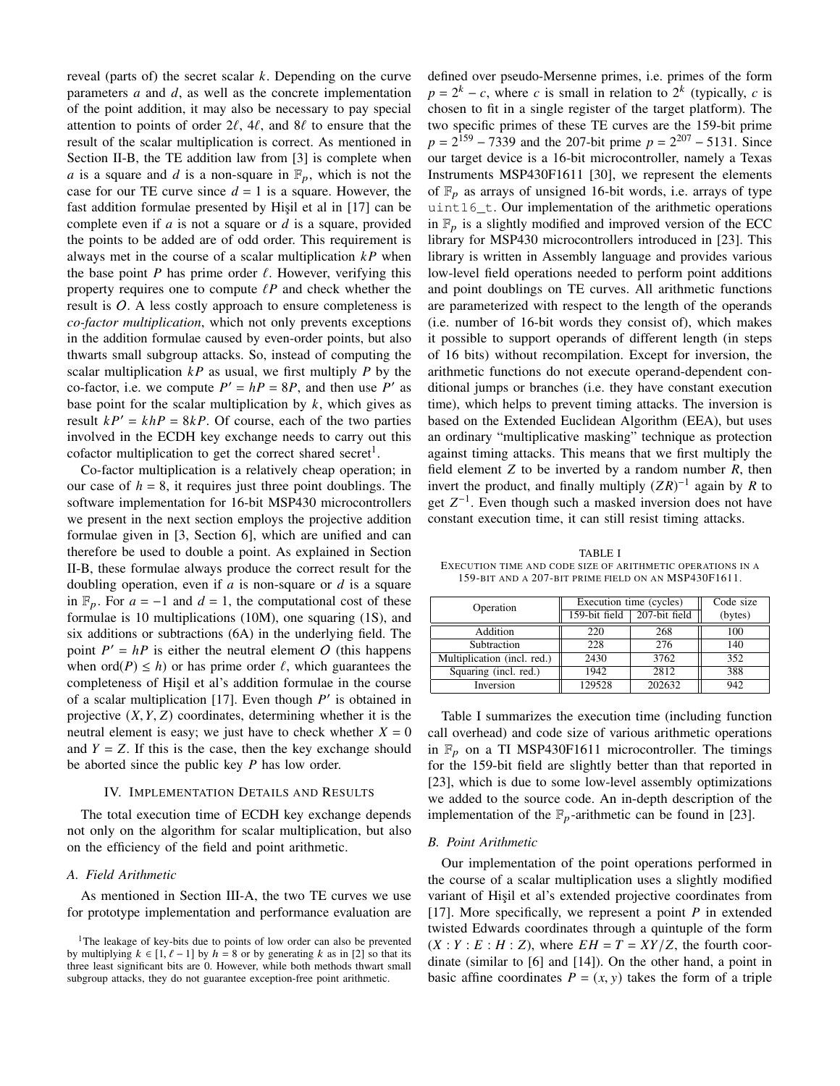reveal (parts of) the secret scalar *k*. Depending on the curve parameters *a* and *d*, as well as the concrete implementation of the point addition, it may also be necessary to pay special attention to points of order  $2\ell$ ,  $4\ell$ , and  $8\ell$  to ensure that the result of the scalar multiplication is correct. As mentioned in Section II-B, the TE addition law from [3] is complete when *a* is a square and *d* is a non-square in  $\mathbb{F}_p$ , which is not the case for our TE curve since  $d = 1$  is a square. However, the fast addition formulae presented by Hişil et al in [17] can be complete even if *a* is not a square or *d* is a square, provided the points to be added are of odd order. This requirement is always met in the course of a scalar multiplication *kP* when the base point *P* has prime order  $\ell$ . However, verifying this property requires one to compute  $\ell P$  and check whether the result is  $O$ . A less costly approach to ensure completeness is *co-factor multiplication*, which not only prevents exceptions in the addition formulae caused by even-order points, but also thwarts small subgroup attacks. So, instead of computing the scalar multiplication  $kP$  as usual, we first multiply  $P$  by the co-factor, i.e. we compute  $P' = hP = 8P$ , and then use P' as base point for the scalar multiplication by *k*, which gives as result  $kP' = khP = 8kP$ . Of course, each of the two parties involved in the ECDH key exchange needs to carry out this cofactor multiplication to get the correct shared secret<sup>1</sup>.

Co-factor multiplication is a relatively cheap operation; in our case of  $h = 8$ , it requires just three point doublings. The software implementation for 16-bit MSP430 microcontrollers we present in the next section employs the projective addition formulae given in [3, Section 6], which are unified and can therefore be used to double a point. As explained in Section II-B, these formulae always produce the correct result for the doubling operation, even if *a* is non-square or *d* is a square in  $\mathbb{F}_p$ . For *a* = −1 and *d* = 1, the computational cost of these formulae is 10 multiplications (10M), one squaring (1S), and six additions or subtractions (6A) in the underlying field. The point  $P' = hP$  is either the neutral element O (this happens when ord $(P) \leq h$ ) or has prime order  $\ell$ , which guarantees the completeness of Hişil et al's addition formulae in the course of a scalar multiplication [17]. Even though  $P'$  is obtained in projective  $(X, Y, Z)$  coordinates, determining whether it is the neutral element is easy; we just have to check whether  $X = 0$ and  $Y = Z$ . If this is the case, then the key exchange should be aborted since the public key *P* has low order.

# IV. IMPLEMENTATION DETAILS AND RESULTS

The total execution time of ECDH key exchange depends not only on the algorithm for scalar multiplication, but also on the efficiency of the field and point arithmetic.

## *A. Field Arithmetic*

As mentioned in Section III-A, the two TE curves we use for prototype implementation and performance evaluation are defined over pseudo-Mersenne primes, i.e. primes of the form  $p = 2<sup>k</sup> - c$ , where *c* is small in relation to  $2<sup>k</sup>$  (typically, *c* is chosen to fit in a single register of the target platform). The two specific primes of these TE curves are the 159-bit prime  $p = 2^{159} - 7339$  and the 207-bit prime  $p = 2^{207} - 5131$ . Since our target device is a 16-bit microcontroller, namely a Texas Instruments MSP430F1611 [30], we represent the elements of  $\mathbb{F}_p$  as arrays of unsigned 16-bit words, i.e. arrays of type uint16\_t. Our implementation of the arithmetic operations in  $\mathbb{F}_p$  is a slightly modified and improved version of the ECC library for MSP430 microcontrollers introduced in [23]. This library is written in Assembly language and provides various low-level field operations needed to perform point additions and point doublings on TE curves. All arithmetic functions are parameterized with respect to the length of the operands (i.e. number of 16-bit words they consist of), which makes it possible to support operands of different length (in steps of 16 bits) without recompilation. Except for inversion, the arithmetic functions do not execute operand-dependent conditional jumps or branches (i.e. they have constant execution time), which helps to prevent timing attacks. The inversion is based on the Extended Euclidean Algorithm (EEA), but uses an ordinary "multiplicative masking" technique as protection against timing attacks. This means that we first multiply the field element *Z* to be inverted by a random number *R*, then invert the product, and finally multiply  $(ZR)^{-1}$  again by R to get  $Z^{-1}$ . Even though such a masked inversion does not have constant execution time, it can still resist timing attacks.

TABLE I EXECUTION TIME AND CODE SIZE OF ARITHMETIC OPERATIONS IN A 159-BIT AND A 207-BIT PRIME FIELD ON AN MSP430F1611.

| Operation                   | Execution time (cycles) |                             | Code size |
|-----------------------------|-------------------------|-----------------------------|-----------|
|                             |                         | 159-bit field 207-bit field | (bytes)   |
| Addition                    | 220                     | 268                         | 100       |
| Subtraction                 | 228                     | 276                         | 140       |
| Multiplication (incl. red.) | 2430                    | 3762                        | 352       |
| Squaring (incl. red.)       | 1942                    | 2812                        | 388       |
| Inversion                   | 129528                  | 202632                      | 942       |

Table I summarizes the execution time (including function call overhead) and code size of various arithmetic operations in  $\mathbb{F}_p$  on a TI MSP430F1611 microcontroller. The timings for the 159-bit field are slightly better than that reported in [23], which is due to some low-level assembly optimizations we added to the source code. An in-depth description of the implementation of the  $\mathbb{F}_p$ -arithmetic can be found in [23].

#### *B. Point Arithmetic*

Our implementation of the point operations performed in the course of a scalar multiplication uses a slightly modified variant of Hişil et al's extended projective coordinates from [17]. More specifically, we represent a point *P* in extended twisted Edwards coordinates through a quintuple of the form  $(X:Y: E: H: Z)$ , where  $EH = T = XY/Z$ , the fourth coordinate (similar to [6] and [14]). On the other hand, a point in basic affine coordinates  $P = (x, y)$  takes the form of a triple

<sup>&</sup>lt;sup>1</sup>The leakage of key-bits due to points of low order can also be prevented by multiplying  $k \in [1, \ell - 1]$  by  $h = 8$  or by generating k as in [2] so that its three least significant bits are 0. However, while both methods thwart small subgroup attacks, they do not guarantee exception-free point arithmetic.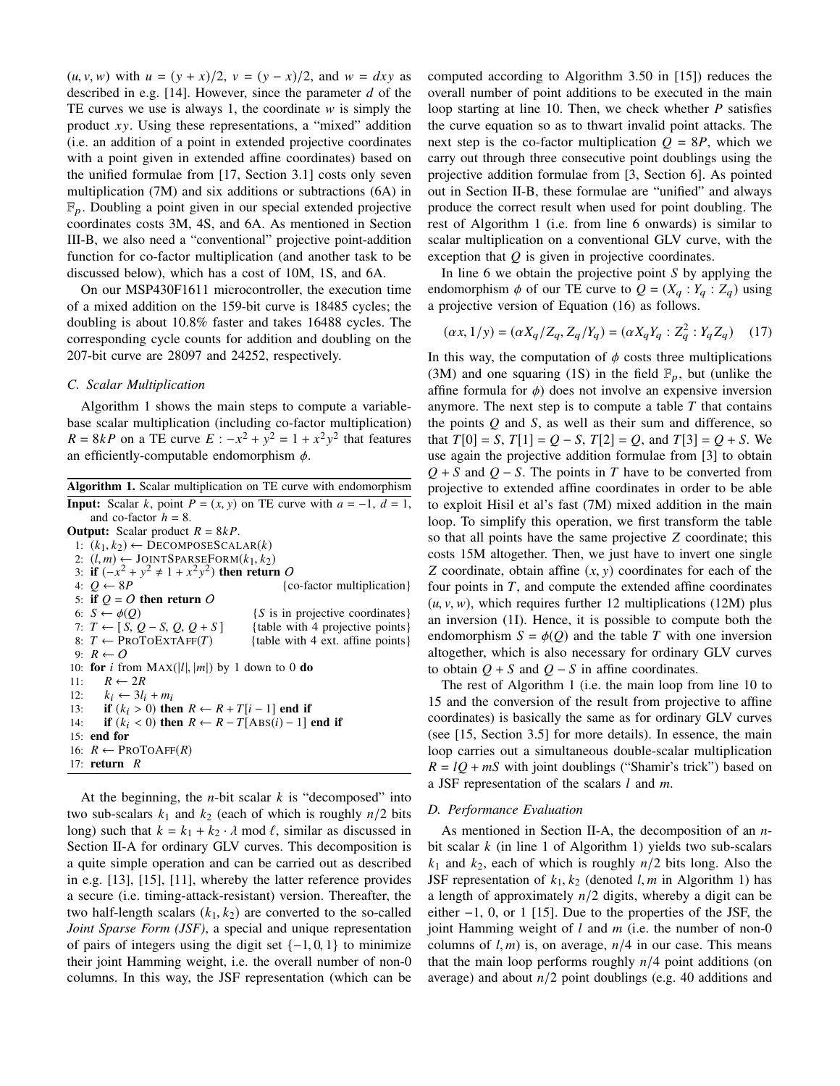$(u, v, w)$  with  $u = (y + x)/2$ ,  $v = (y - x)/2$ , and  $w = dxy$  as described in e.g. [14]. However, since the parameter *d* of the TE curves we use is always 1, the coordinate  $w$  is simply the product *x*y. Using these representations, a "mixed" addition (i.e. an addition of a point in extended projective coordinates with a point given in extended affine coordinates) based on the unified formulae from [17, Section 3.1] costs only seven multiplication (7M) and six additions or subtractions (6A) in  $\mathbb{F}_p$ . Doubling a point given in our special extended projective coordinates costs 3M, 4S, and 6A. As mentioned in Section III-B, we also need a "conventional" projective point-addition function for co-factor multiplication (and another task to be discussed below), which has a cost of 10M, 1S, and 6A.

On our MSP430F1611 microcontroller, the execution time of a mixed addition on the 159-bit curve is 18485 cycles; the doubling is about 10.8% faster and takes 16488 cycles. The corresponding cycle counts for addition and doubling on the 207-bit curve are 28097 and 24252, respectively.

# *C. Scalar Multiplication*

Algorithm 1 shows the main steps to compute a variablebase scalar multiplication (including co-factor multiplication) *R* = 8*kP* on a TE curve *E* :  $-x^2 + y^2 = 1 + x^2y^2$  that features an efficiently-computable endomorphism  $\phi$ .

At the beginning, the *n*-bit scalar *k* is "decomposed" into two sub-scalars  $k_1$  and  $k_2$  (each of which is roughly  $n/2$  bits long) such that  $k = k_1 + k_2 \cdot \lambda \text{ mod } \ell$ , similar as discussed in Section II-A for ordinary GLV curves. This decomposition is a quite simple operation and can be carried out as described in e.g. [13], [15], [11], whereby the latter reference provides a secure (i.e. timing-attack-resistant) version. Thereafter, the two half-length scalars  $(k_1, k_2)$  are converted to the so-called *Joint Sparse Form (JSF)*, a special and unique representation of pairs of integers using the digit set  $\{-1, 0, 1\}$  to minimize their joint Hamming weight, i.e. the overall number of non-0 columns. In this way, the JSF representation (which can be computed according to Algorithm 3.50 in [15]) reduces the overall number of point additions to be executed in the main loop starting at line 10. Then, we check whether *P* satisfies the curve equation so as to thwart invalid point attacks. The next step is the co-factor multiplication  $Q = 8P$ , which we carry out through three consecutive point doublings using the projective addition formulae from [3, Section 6]. As pointed out in Section II-B, these formulae are "unified" and always produce the correct result when used for point doubling. The rest of Algorithm 1 (i.e. from line 6 onwards) is similar to scalar multiplication on a conventional GLV curve, with the exception that *Q* is given in projective coordinates.

In line 6 we obtain the projective point *S* by applying the endomorphism  $\phi$  of our TE curve to  $Q = (X_q : Y_q : Z_q)$  using a projective version of Equation (16) as follows.

$$
(\alpha x, 1/y) = (\alpha X_q / Z_q, Z_q / Y_q) = (\alpha X_q Y_q : Z_q^2 : Y_q Z_q) \tag{17}
$$

In this way, the computation of  $\phi$  costs three multiplications (3M) and one squaring (1S) in the field  $\mathbb{F}_p$ , but (unlike the affine formula for  $\phi$ ) does not involve an expensive inversion anymore. The next step is to compute a table  $T$  that contains the points *Q* and *S*, as well as their sum and difference, so that  $T[0] = S$ ,  $T[1] = Q - S$ ,  $T[2] = Q$ , and  $T[3] = Q + S$ . We use again the projective addition formulae from [3] to obtain *Q* + *S* and *Q* − *S*. The points in *T* have to be converted from projective to extended affine coordinates in order to be able to exploit Hisil et al's fast (7M) mixed addition in the main loop. To simplify this operation, we first transform the table so that all points have the same projective *Z* coordinate; this costs 15M altogether. Then, we just have to invert one single *<sup>Z</sup>* coordinate, obtain affine (*x*, <sup>y</sup>) coordinates for each of the four points in  $T$ , and compute the extended affine coordinates  $(u, v, w)$ , which requires further 12 multiplications (12M) plus an inversion (1I). Hence, it is possible to compute both the endomorphism  $S = \phi(Q)$  and the table *T* with one inversion altogether, which is also necessary for ordinary GLV curves to obtain  $Q + S$  and  $Q - S$  in affine coordinates.

The rest of Algorithm 1 (i.e. the main loop from line 10 to 15 and the conversion of the result from projective to affine coordinates) is basically the same as for ordinary GLV curves (see [15, Section 3.5] for more details). In essence, the main loop carries out a simultaneous double-scalar multiplication  $R = lQ + mS$  with joint doublings ("Shamir's trick") based on a JSF representation of the scalars *l* and *m*.

## *D. Performance Evaluation*

As mentioned in Section II-A, the decomposition of an *n*bit scalar *k* (in line 1 of Algorithm 1) yields two sub-scalars  $k_1$  and  $k_2$ , each of which is roughly  $n/2$  bits long. Also the JSF representation of  $k_1, k_2$  (denoted *l, m* in Algorithm 1) has a length of approximately *n*/2 digits, whereby a digit can be either −1, 0, or 1 [15]. Due to the properties of the JSF, the joint Hamming weight of *l* and *m* (i.e. the number of non-0 columns of  $l, m$  is, on average,  $n/4$  in our case. This means that the main loop performs roughly *n*/4 point additions (on average) and about  $n/2$  point doublings (e.g. 40 additions and